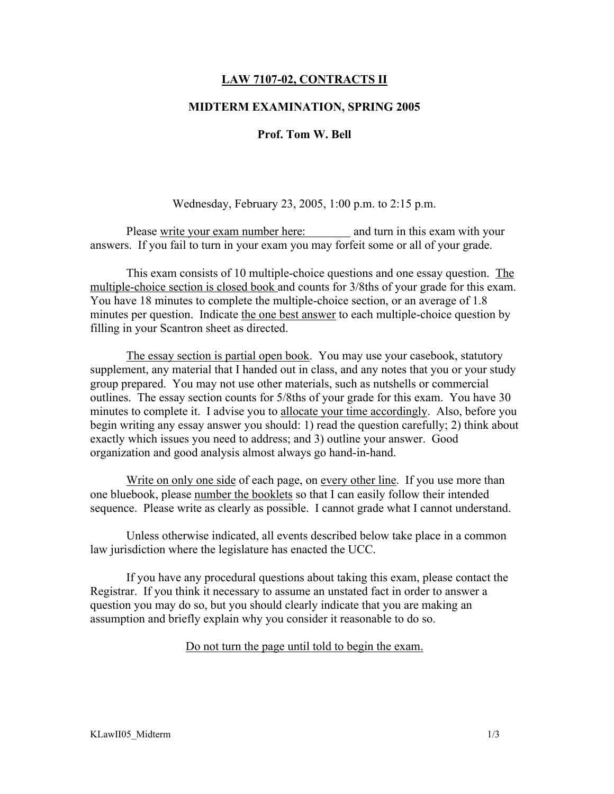## LAW 7107-02, CONTRACTS II

## MIDTERM EXAMINATION, SPRING 2005

## Prof. Tom W. Bell

Wednesday, February 23, 2005, 1:00 p.m. to 2:15 p.m.

Please write your exam number here: and turn in this exam with your answers. If you fail to turn in your exam you may forfeit some or all of your grade.

This exam consists of 10 multiple-choice questions and one essay question. The multiple-choice section is closed book and counts for 3/8ths of your grade for this exam. You have 18 minutes to complete the multiple-choice section, or an average of 1.8 minutes per question. Indicate the one best answer to each multiple-choice question by filling in your Scantron sheet as directed.

The essay section is partial open book. You may use your casebook, statutory supplement, any material that I handed out in class, and any notes that you or your study group prepared. You may not use other materials, such as nutshells or commercial outlines. The essay section counts for 5/8ths of your grade for this exam. You have 30 minutes to complete it. I advise you to allocate your time accordingly. Also, before you begin writing any essay answer you should: 1) read the question carefully; 2) think about exactly which issues you need to address; and 3) outline your answer. Good organization and good analysis almost always go hand-in-hand.

Write on only one side of each page, on every other line. If you use more than one bluebook, please number the booklets so that I can easily follow their intended sequence. Please write as clearly as possible. I cannot grade what I cannot understand.

Unless otherwise indicated, all events described below take place in a common law jurisdiction where the legislature has enacted the UCC.

If you have any procedural questions about taking this exam, please contact the Registrar. If you think it necessary to assume an unstated fact in order to answer a question you may do so, but you should clearly indicate that you are making an assumption and briefly explain why you consider it reasonable to do so.

Do not turn the page until told to begin the exam.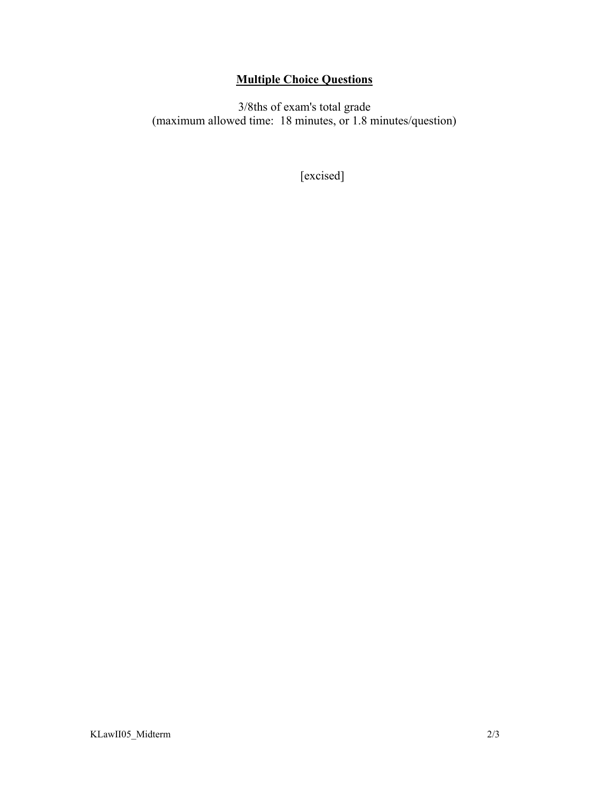# Multiple Choice Questions

3/8ths of exam's total grade (maximum allowed time: 18 minutes, or 1.8 minutes/question)

[excised]